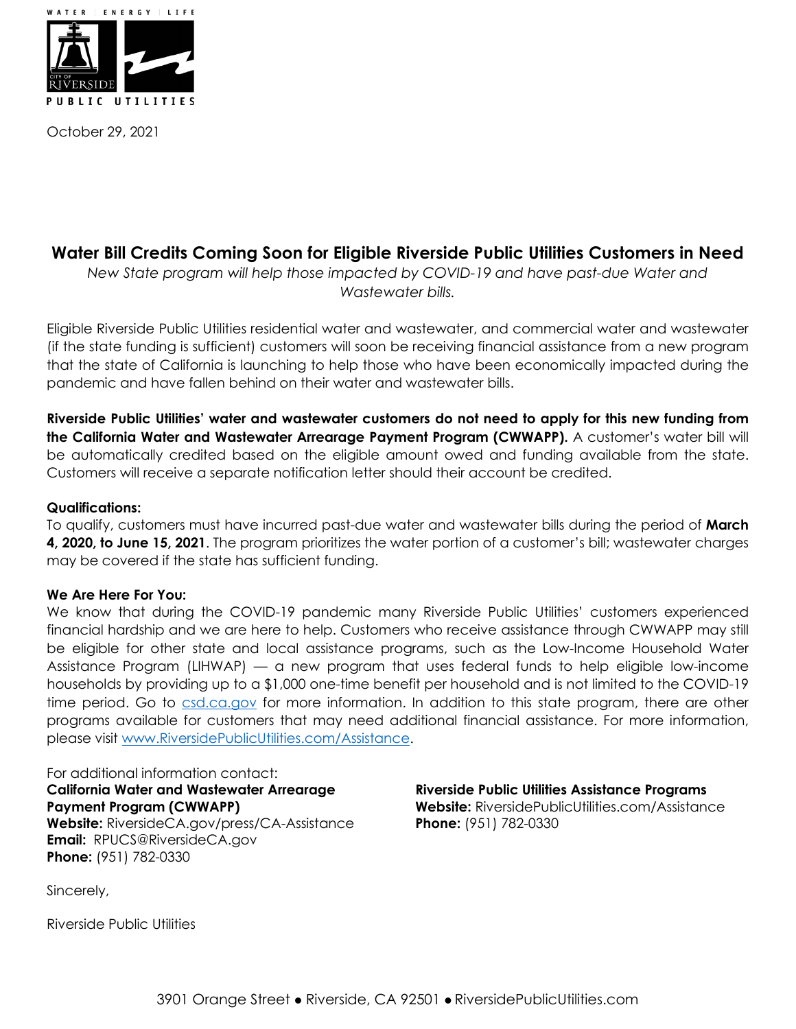

October 29, 2021

# **Water Bill Credits Coming Soon for Eligible Riverside Public Utilities Customers in Need**

*New State program will help those impacted by COVID-19 and have past-due Water and Wastewater bills.*

Eligible Riverside Public Utilities residential water and wastewater, and commercial water and wastewater (if the state funding is sufficient) customers will soon be receiving financial assistance from a new program that the state of California is launching to help those who have been economically impacted during the pandemic and have fallen behind on their water and wastewater bills.

**Riverside Public Utilities' water and wastewater customers do not need to apply for this new funding from the California Water and Wastewater Arrearage Payment Program (CWWAPP).** A customer's water bill will be automatically credited based on the eligible amount owed and funding available from the state. Customers will receive a separate notification letter should their account be credited.

## **Qualifications:**

To qualify, customers must have incurred past-due water and wastewater bills during the period of **March 4, 2020, to June 15, 2021**. The program prioritizes the water portion of a customer's bill; wastewater charges may be covered if the state has sufficient funding.

### **We Are Here For You:**

We know that during the COVID-19 pandemic many Riverside Public Utilities' customers experienced financial hardship and we are here to help. Customers who receive assistance through CWWAPP may still be eligible for other state and local assistance programs, such as the Low-Income Household Water Assistance Program (LIHWAP) — a new program that uses federal funds to help eligible low-income households by providing up to a \$1,000 one-time benefit per household and is not limited to the COVID-19 time period. Go to [csd.ca.gov](https://www.csd.ca.gov/Pages/LIHWAP.aspx) for more information. In addition to this state program, there are other programs available for customers that may need additional financial assistance. For more information, please visit [www.RiversidePublicUtilities.com/Assistance.](https://www.riversideca.gov/utilities/residents/rebates-assistance.asp)

For additional information contact: **California Water and Wastewater Arrearage Payment Program (CWWAPP) Website:** RiversideCA.gov/press/CA-Assistance **Email:** RPUCS@RiversideCA.gov **Phone:** (951) 782-0330

**Riverside Public Utilities Assistance Programs Website:** RiversidePublicUtilities.com/Assistance **Phone:** (951) 782-0330

Sincerely,

Riverside Public Utilities